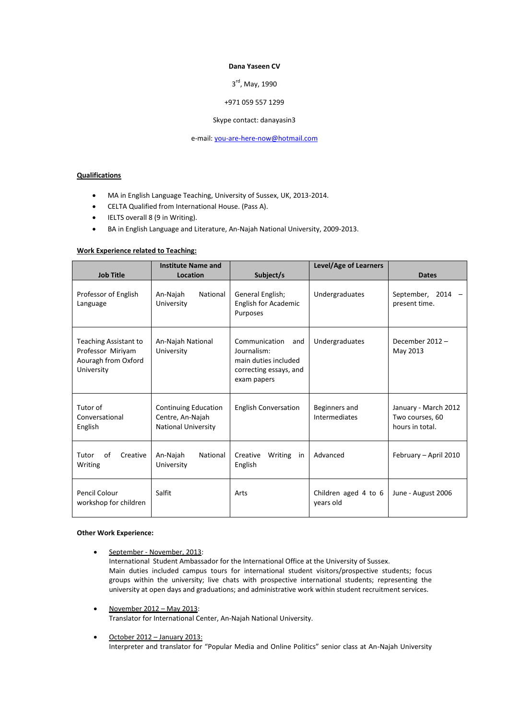### **Dana Yaseen CV**

# 3<sup>rd</sup>, May, 1990

### +971 059 557 1299

#### Skype contact: danayasin3

e-mail: [you-are-here-now@hotmail.com](mailto:you-are-here-now@hotmail.com)

# **Qualifications**

- MA in English Language Teaching, University of Sussex, UK, 2013-2014.
- CELTA Qualified from International House. (Pass A).
- IELTS overall 8 (9 in Writing).
- BA in English Language and Literature, An-Najah National University, 2009-2013.

## **Work Experience related to Teaching:**

|                                                                                 | <b>Institute Name and</b>                                                     |                                                                                                      | Level/Age of Learners             |                                                            |
|---------------------------------------------------------------------------------|-------------------------------------------------------------------------------|------------------------------------------------------------------------------------------------------|-----------------------------------|------------------------------------------------------------|
| <b>Job Title</b>                                                                | Location                                                                      | Subject/s                                                                                            |                                   | <b>Dates</b>                                               |
| Professor of English<br>Language                                                | National<br>An-Najah<br>University                                            | General English;<br>English for Academic<br>Purposes                                                 | Undergraduates                    | September, 2014 -<br>present time.                         |
| Teaching Assistant to<br>Professor Miriyam<br>Aouragh from Oxford<br>University | An-Najah National<br>University                                               | Communication<br>and<br>Journalism:<br>main duties included<br>correcting essays, and<br>exam papers | Undergraduates                    | December 2012-<br>May 2013                                 |
| Tutor of<br>Conversational<br>English                                           | <b>Continuing Education</b><br>Centre, An-Najah<br><b>National University</b> | <b>English Conversation</b>                                                                          | Beginners and<br>Intermediates    | January - March 2012<br>Two courses, 60<br>hours in total. |
| Tutor<br>of<br>Creative<br>Writing                                              | National<br>An-Najah<br>University                                            | Creative<br>Writing<br>in<br>English                                                                 | Advanced                          | February - April 2010                                      |
| Pencil Colour<br>workshop for children                                          | Salfit                                                                        | Arts                                                                                                 | Children aged 4 to 6<br>years old | June - August 2006                                         |

#### **Other Work Experience:**

- September November, 2013: International Student Ambassador for the International Office at the University of Sussex. Main duties included campus tours for international student visitors/prospective students; focus groups within the university; live chats with prospective international students; representing the university at open days and graduations; and administrative work within student recruitment services.
- November 2012 May 2013: Translator for International Center, An-Najah National University.
- October 2012 January 2013: Interpreter and translator for "Popular Media and Online Politics" senior class at An-Najah University